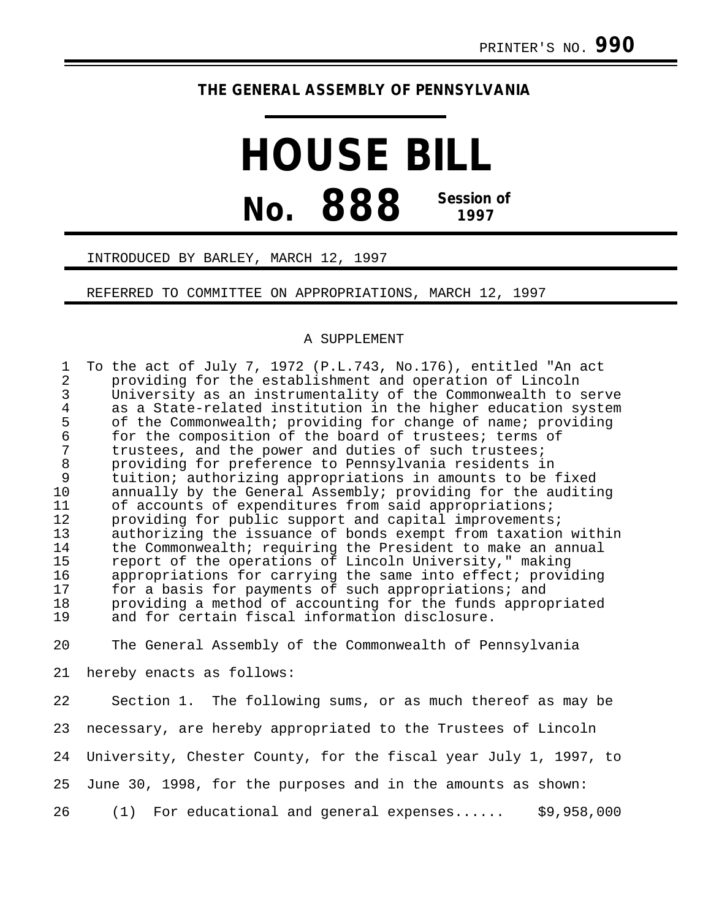# **THE GENERAL ASSEMBLY OF PENNSYLVANIA**

# **HOUSE BILL No. 888 Session of 1997**

## INTRODUCED BY BARLEY, MARCH 12, 1997

### REFERRED TO COMMITTEE ON APPROPRIATIONS, MARCH 12, 1997

#### A SUPPLEMENT

1 To the act of July 7, 1972 (P.L.743, No.176), entitled "An act<br>2 providing for the establishment and operation of Lincoln 2 providing for the establishment and operation of Lincoln 3 University as an instrumentality of the Commonwealth to serve 4 as a State-related institution in the higher education system<br>5 of the Commonwealth; providing for change of name; providing 5 of the Commonwealth; providing for change of name; providing<br>6 for the composition of the board of trustees; terms of 6 for the composition of the board of trustees; terms of<br>7 trustees, and the power and duties of such trustees; 7 trustees, and the power and duties of such trustees;<br>8 providing for preference to Pennsylvania residents i: 8 providing for preference to Pennsylvania residents in 9 tuition; authorizing appropriations in amounts to be fixed<br>10 annually by the General Assembly; providing for the auditi 10 annually by the General Assembly; providing for the auditing<br>11 of accounts of expenditures from said appropriations; 11 of accounts of expenditures from said appropriations;<br>12 providing for public support and capital improvements 12 providing for public support and capital improvements;<br>13 authorizing the issuance of bonds exempt from taxation 13 authorizing the issuance of bonds exempt from taxation within<br>14 the Commonwealth; requiring the President to make an annual 14 the Commonwealth; requiring the President to make an annual<br>15 meport of the operations of Lincoln University," making 15 report of the operations of Lincoln University," making<br>16 appropriations for carrying the same into effect; provio 16 appropriations for carrying the same into effect; providing<br>17 for a basis for payments of such appropriations; and for a basis for payments of such appropriations; and 18 providing a method of accounting for the funds appropriated<br>19 and for certain fiscal information disclosure. and for certain fiscal information disclosure.

20 The General Assembly of the Commonwealth of Pennsylvania

21 hereby enacts as follows:

22 Section 1. The following sums, or as much thereof as may be 23 necessary, are hereby appropriated to the Trustees of Lincoln 24 University, Chester County, for the fiscal year July 1, 1997, to 25 June 30, 1998, for the purposes and in the amounts as shown: 26 (1) For educational and general expenses...... \$9,958,000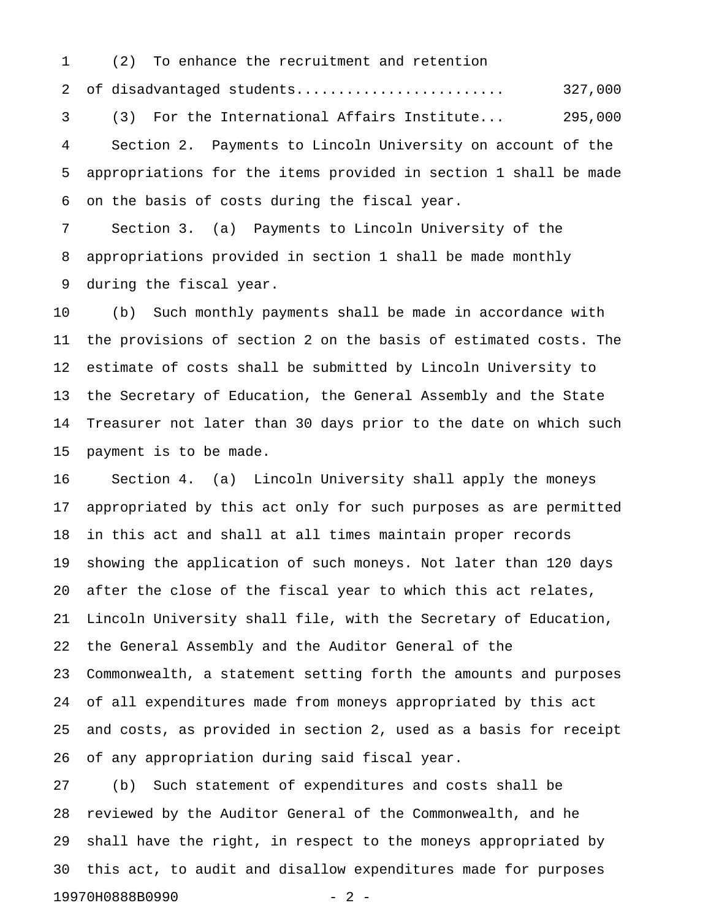2 of disadvantaged students......................... 327,000 3 (3) For the International Affairs Institute... 295,000 4 Section 2. Payments to Lincoln University on account of the 5 appropriations for the items provided in section 1 shall be made 6 on the basis of costs during the fiscal year.

7 Section 3. (a) Payments to Lincoln University of the 8 appropriations provided in section 1 shall be made monthly 9 during the fiscal year.

1 (2) To enhance the recruitment and retention

10 (b) Such monthly payments shall be made in accordance with 11 the provisions of section 2 on the basis of estimated costs. The 12 estimate of costs shall be submitted by Lincoln University to 13 the Secretary of Education, the General Assembly and the State 14 Treasurer not later than 30 days prior to the date on which such 15 payment is to be made.

16 Section 4. (a) Lincoln University shall apply the moneys 17 appropriated by this act only for such purposes as are permitted 18 in this act and shall at all times maintain proper records 19 showing the application of such moneys. Not later than 120 days 20 after the close of the fiscal year to which this act relates, 21 Lincoln University shall file, with the Secretary of Education, 22 the General Assembly and the Auditor General of the 23 Commonwealth, a statement setting forth the amounts and purposes 24 of all expenditures made from moneys appropriated by this act 25 and costs, as provided in section 2, used as a basis for receipt 26 of any appropriation during said fiscal year.

27 (b) Such statement of expenditures and costs shall be 28 reviewed by the Auditor General of the Commonwealth, and he 29 shall have the right, in respect to the moneys appropriated by 30 this act, to audit and disallow expenditures made for purposes 19970H0888B0990 - 2 -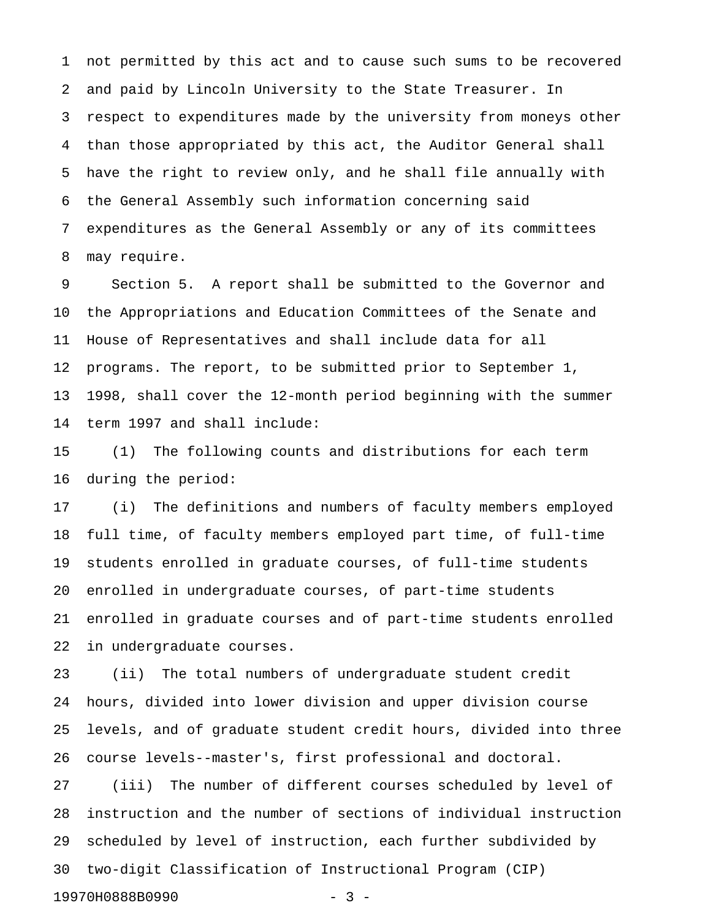1 not permitted by this act and to cause such sums to be recovered 2 and paid by Lincoln University to the State Treasurer. In 3 respect to expenditures made by the university from moneys other 4 than those appropriated by this act, the Auditor General shall 5 have the right to review only, and he shall file annually with 6 the General Assembly such information concerning said 7 expenditures as the General Assembly or any of its committees 8 may require.

9 Section 5. A report shall be submitted to the Governor and 10 the Appropriations and Education Committees of the Senate and 11 House of Representatives and shall include data for all 12 programs. The report, to be submitted prior to September 1, 13 1998, shall cover the 12-month period beginning with the summer 14 term 1997 and shall include:

15 (1) The following counts and distributions for each term 16 during the period:

17 (i) The definitions and numbers of faculty members employed 18 full time, of faculty members employed part time, of full-time 19 students enrolled in graduate courses, of full-time students 20 enrolled in undergraduate courses, of part-time students 21 enrolled in graduate courses and of part-time students enrolled 22 in undergraduate courses.

23 (ii) The total numbers of undergraduate student credit 24 hours, divided into lower division and upper division course 25 levels, and of graduate student credit hours, divided into three 26 course levels--master's, first professional and doctoral.

27 (iii) The number of different courses scheduled by level of 28 instruction and the number of sections of individual instruction 29 scheduled by level of instruction, each further subdivided by 30 two-digit Classification of Instructional Program (CIP) 19970H0888B0990 - 3 -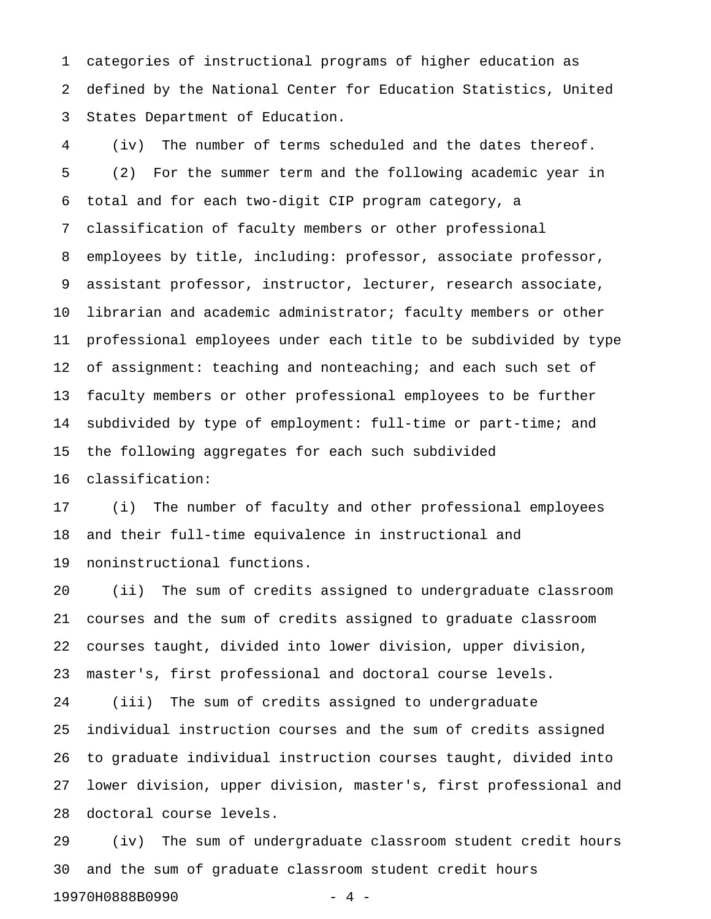1 categories of instructional programs of higher education as 2 defined by the National Center for Education Statistics, United 3 States Department of Education.

4 (iv) The number of terms scheduled and the dates thereof. 5 (2) For the summer term and the following academic year in 6 total and for each two-digit CIP program category, a 7 classification of faculty members or other professional 8 employees by title, including: professor, associate professor, 9 assistant professor, instructor, lecturer, research associate, 10 librarian and academic administrator; faculty members or other 11 professional employees under each title to be subdivided by type 12 of assignment: teaching and nonteaching; and each such set of 13 faculty members or other professional employees to be further 14 subdivided by type of employment: full-time or part-time; and 15 the following aggregates for each such subdivided

16 classification:

17 (i) The number of faculty and other professional employees 18 and their full-time equivalence in instructional and 19 noninstructional functions.

20 (ii) The sum of credits assigned to undergraduate classroom 21 courses and the sum of credits assigned to graduate classroom 22 courses taught, divided into lower division, upper division, 23 master's, first professional and doctoral course levels.

24 (iii) The sum of credits assigned to undergraduate 25 individual instruction courses and the sum of credits assigned 26 to graduate individual instruction courses taught, divided into 27 lower division, upper division, master's, first professional and 28 doctoral course levels.

29 (iv) The sum of undergraduate classroom student credit hours 30 and the sum of graduate classroom student credit hours 19970H0888B0990 - 4 -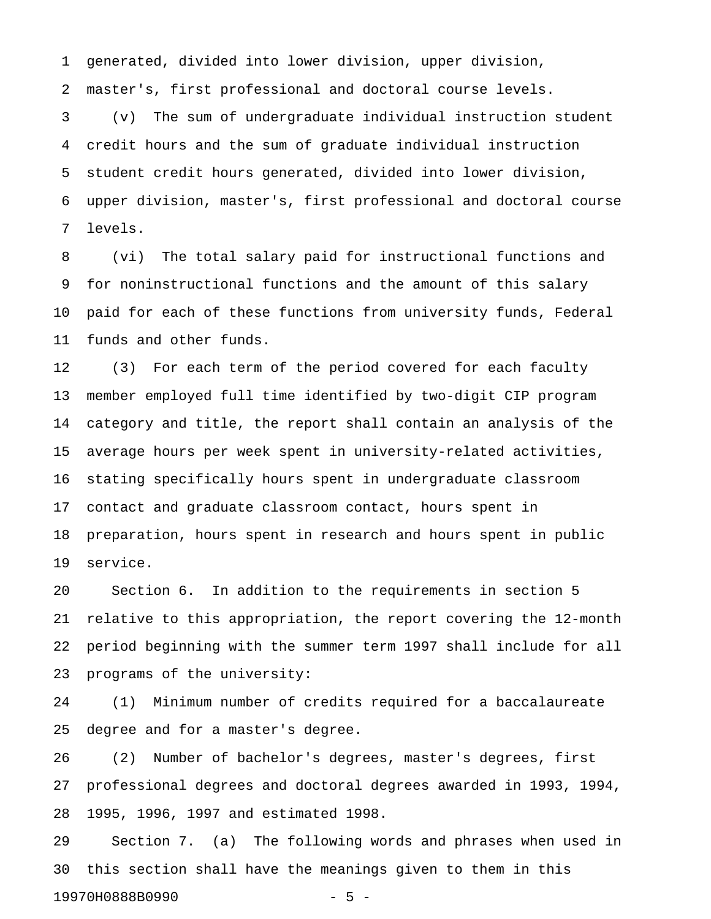1 generated, divided into lower division, upper division,

2 master's, first professional and doctoral course levels.

3 (v) The sum of undergraduate individual instruction student 4 credit hours and the sum of graduate individual instruction 5 student credit hours generated, divided into lower division, 6 upper division, master's, first professional and doctoral course 7 levels.

8 (vi) The total salary paid for instructional functions and 9 for noninstructional functions and the amount of this salary 10 paid for each of these functions from university funds, Federal 11 funds and other funds.

12 (3) For each term of the period covered for each faculty 13 member employed full time identified by two-digit CIP program 14 category and title, the report shall contain an analysis of the 15 average hours per week spent in university-related activities, 16 stating specifically hours spent in undergraduate classroom 17 contact and graduate classroom contact, hours spent in 18 preparation, hours spent in research and hours spent in public 19 service.

20 Section 6. In addition to the requirements in section 5 21 relative to this appropriation, the report covering the 12-month 22 period beginning with the summer term 1997 shall include for all 23 programs of the university:

24 (1) Minimum number of credits required for a baccalaureate 25 degree and for a master's degree.

26 (2) Number of bachelor's degrees, master's degrees, first 27 professional degrees and doctoral degrees awarded in 1993, 1994, 28 1995, 1996, 1997 and estimated 1998.

29 Section 7. (a) The following words and phrases when used in 30 this section shall have the meanings given to them in this 19970H0888B0990 - 5 -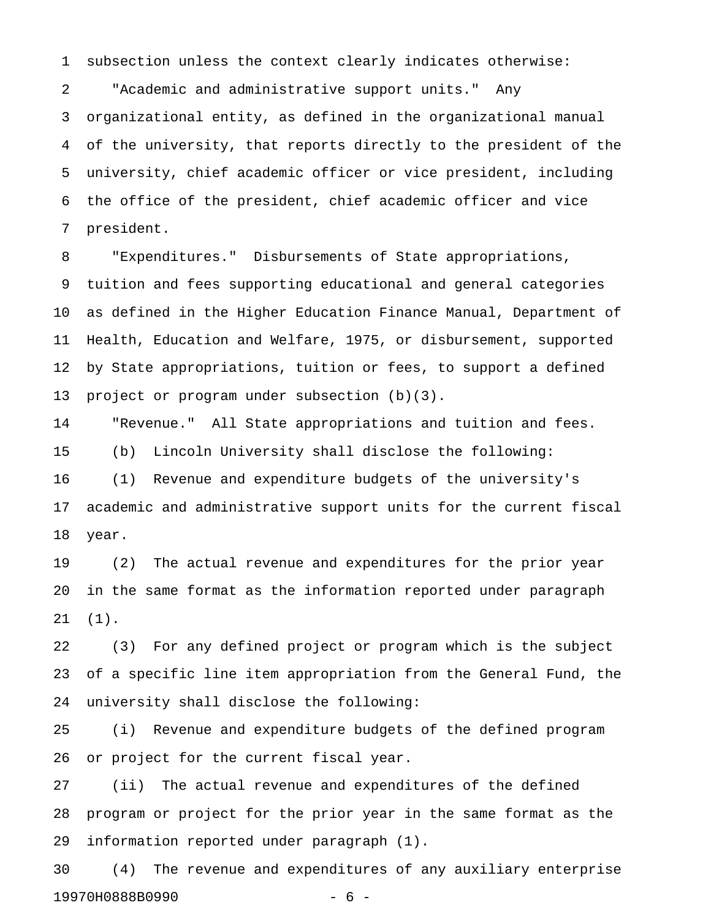1 subsection unless the context clearly indicates otherwise:

2 "Academic and administrative support units." Any 3 organizational entity, as defined in the organizational manual 4 of the university, that reports directly to the president of the 5 university, chief academic officer or vice president, including 6 the office of the president, chief academic officer and vice 7 president.

8 "Expenditures." Disbursements of State appropriations, 9 tuition and fees supporting educational and general categories 10 as defined in the Higher Education Finance Manual, Department of 11 Health, Education and Welfare, 1975, or disbursement, supported 12 by State appropriations, tuition or fees, to support a defined 13 project or program under subsection (b)(3).

14 "Revenue." All State appropriations and tuition and fees. 15 (b) Lincoln University shall disclose the following: 16 (1) Revenue and expenditure budgets of the university's 17 academic and administrative support units for the current fiscal 18 year.

19 (2) The actual revenue and expenditures for the prior year 20 in the same format as the information reported under paragraph 21 (1).

22 (3) For any defined project or program which is the subject 23 of a specific line item appropriation from the General Fund, the 24 university shall disclose the following:

25 (i) Revenue and expenditure budgets of the defined program 26 or project for the current fiscal year.

27 (ii) The actual revenue and expenditures of the defined 28 program or project for the prior year in the same format as the 29 information reported under paragraph (1).

30 (4) The revenue and expenditures of any auxiliary enterprise 19970H0888B0990 - 6 -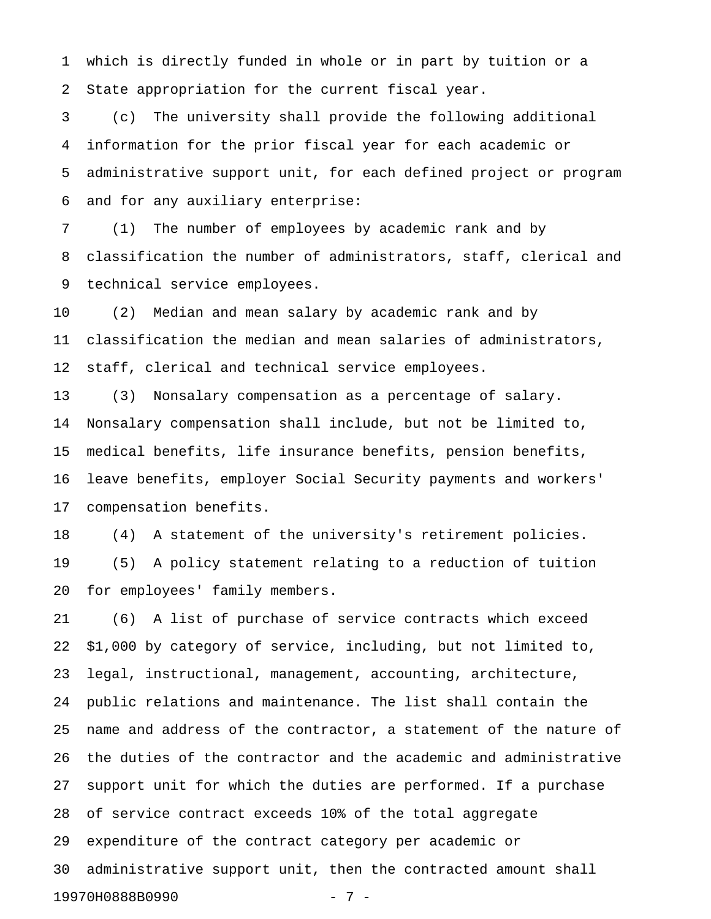1 which is directly funded in whole or in part by tuition or a 2 State appropriation for the current fiscal year.

3 (c) The university shall provide the following additional 4 information for the prior fiscal year for each academic or 5 administrative support unit, for each defined project or program 6 and for any auxiliary enterprise:

7 (1) The number of employees by academic rank and by 8 classification the number of administrators, staff, clerical and 9 technical service employees.

10 (2) Median and mean salary by academic rank and by 11 classification the median and mean salaries of administrators, 12 staff, clerical and technical service employees.

13 (3) Nonsalary compensation as a percentage of salary. 14 Nonsalary compensation shall include, but not be limited to, 15 medical benefits, life insurance benefits, pension benefits, 16 leave benefits, employer Social Security payments and workers' 17 compensation benefits.

18 (4) A statement of the university's retirement policies. 19 (5) A policy statement relating to a reduction of tuition 20 for employees' family members.

21 (6) A list of purchase of service contracts which exceed 22 \$1,000 by category of service, including, but not limited to, 23 legal, instructional, management, accounting, architecture, 24 public relations and maintenance. The list shall contain the 25 name and address of the contractor, a statement of the nature of 26 the duties of the contractor and the academic and administrative 27 support unit for which the duties are performed. If a purchase 28 of service contract exceeds 10% of the total aggregate 29 expenditure of the contract category per academic or 30 administrative support unit, then the contracted amount shall 19970H0888B0990 - 7 -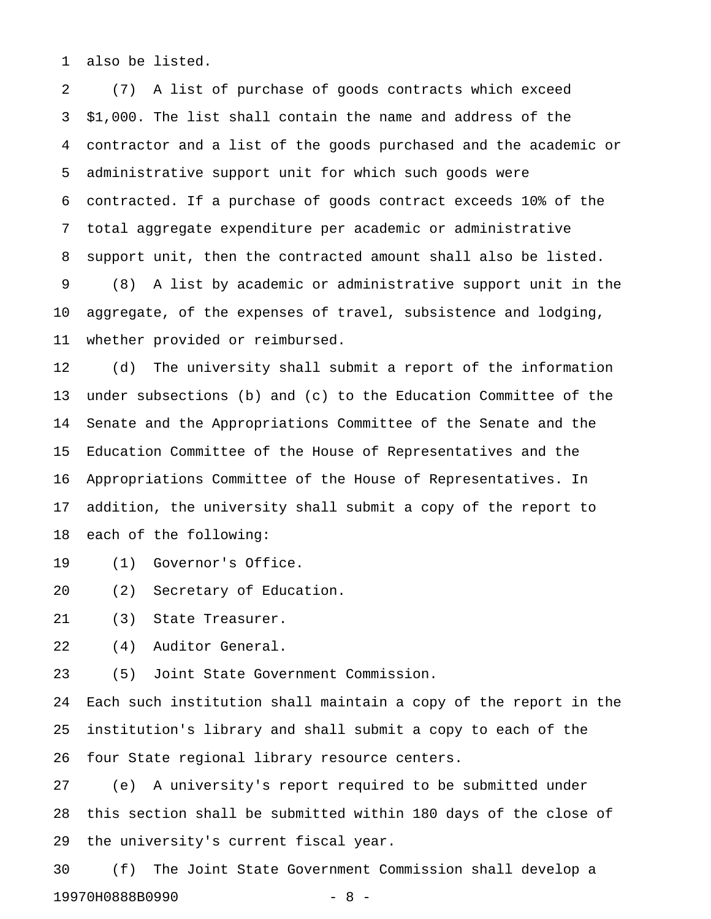1 also be listed.

2 (7) A list of purchase of goods contracts which exceed 3 \$1,000. The list shall contain the name and address of the 4 contractor and a list of the goods purchased and the academic or 5 administrative support unit for which such goods were 6 contracted. If a purchase of goods contract exceeds 10% of the 7 total aggregate expenditure per academic or administrative 8 support unit, then the contracted amount shall also be listed. 9 (8) A list by academic or administrative support unit in the 10 aggregate, of the expenses of travel, subsistence and lodging, 11 whether provided or reimbursed.

12 (d) The university shall submit a report of the information 13 under subsections (b) and (c) to the Education Committee of the 14 Senate and the Appropriations Committee of the Senate and the 15 Education Committee of the House of Representatives and the 16 Appropriations Committee of the House of Representatives. In 17 addition, the university shall submit a copy of the report to 18 each of the following:

19 (1) Governor's Office.

20 (2) Secretary of Education.

21 (3) State Treasurer.

22 (4) Auditor General.

23 (5) Joint State Government Commission.

24 Each such institution shall maintain a copy of the report in the 25 institution's library and shall submit a copy to each of the 26 four State regional library resource centers.

27 (e) A university's report required to be submitted under 28 this section shall be submitted within 180 days of the close of 29 the university's current fiscal year.

30 (f) The Joint State Government Commission shall develop a 19970H0888B0990 - 8 -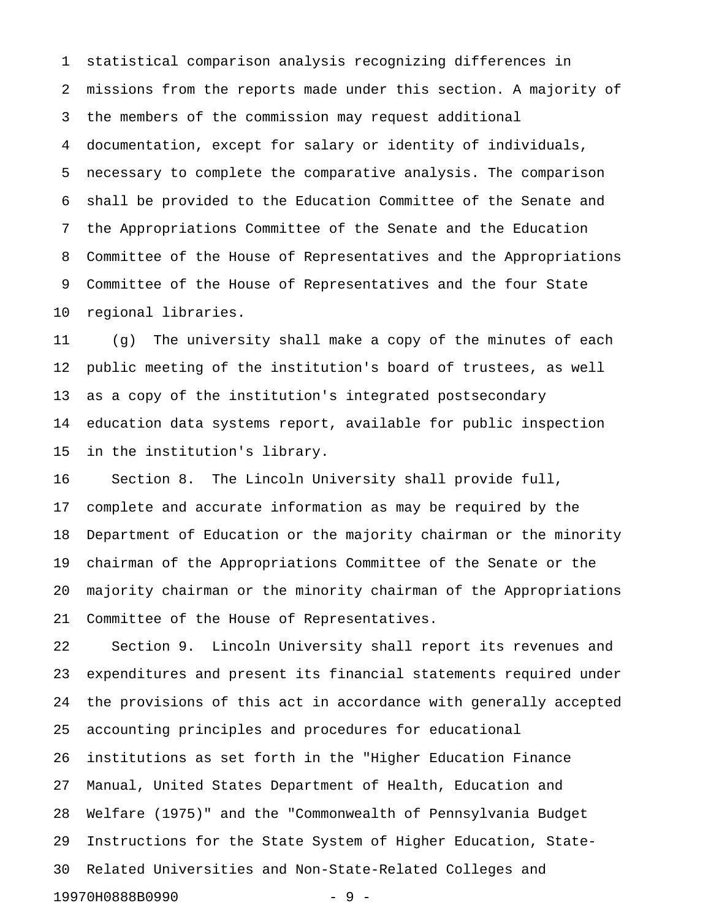1 statistical comparison analysis recognizing differences in 2 missions from the reports made under this section. A majority of 3 the members of the commission may request additional 4 documentation, except for salary or identity of individuals, 5 necessary to complete the comparative analysis. The comparison 6 shall be provided to the Education Committee of the Senate and 7 the Appropriations Committee of the Senate and the Education 8 Committee of the House of Representatives and the Appropriations 9 Committee of the House of Representatives and the four State 10 regional libraries.

11 (g) The university shall make a copy of the minutes of each 12 public meeting of the institution's board of trustees, as well 13 as a copy of the institution's integrated postsecondary 14 education data systems report, available for public inspection 15 in the institution's library.

16 Section 8. The Lincoln University shall provide full, 17 complete and accurate information as may be required by the 18 Department of Education or the majority chairman or the minority 19 chairman of the Appropriations Committee of the Senate or the 20 majority chairman or the minority chairman of the Appropriations 21 Committee of the House of Representatives.

22 Section 9. Lincoln University shall report its revenues and 23 expenditures and present its financial statements required under 24 the provisions of this act in accordance with generally accepted 25 accounting principles and procedures for educational 26 institutions as set forth in the "Higher Education Finance 27 Manual, United States Department of Health, Education and 28 Welfare (1975)" and the "Commonwealth of Pennsylvania Budget 29 Instructions for the State System of Higher Education, State-30 Related Universities and Non-State-Related Colleges and 19970H0888B0990 - 9 -